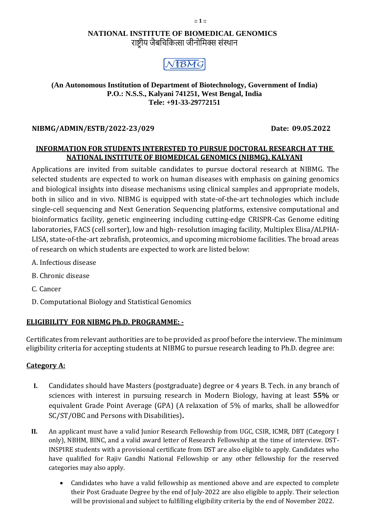#### **:: 1 ::**

### **NATIONAL INSTITUTE OF BIOMEDICAL GENOMICS** राष्ट्रीय जैबचिचित्सा जीनोचिक्स संस्थान



#### **(An Autonomous Institution of Department of Biotechnology, Government of India) P.O.: N.S.S., Kalyani 741251, West Bengal, India Tele: +91-33-29772151**

# **NIBMG/ADMIN/ESTB/2022-23/029 Date: 09.05.2022**

## **INFORMATION FOR STUDENTS INTERESTED TO PURSUE DOCTORAL RESEARCH AT THE NATIONAL INSTITUTE OF BIOMEDICAL GENOMICS (NIBMG), KALYANI**

Applications are invited from suitable candidates to pursue doctoral research at NIBMG. The selected students are expected to work on human diseases with emphasis on gaining genomics and biological insights into disease mechanisms using clinical samples and appropriate models, both in silico and in vivo. NIBMG is equipped with state-of-the-art technologies which include single-cell sequencing and Next Generation Sequencing platforms, extensive computational and bioinformatics facility, genetic engineering including cutting-edge CRISPR-Cas Genome editing laboratories, FACS (cell sorter), low and high- resolution imaging facility, Multiplex Elisa/ALPHA-LISA, state-of-the-art zebrafish, proteomics, and upcoming microbiome facilities. The broad areas of research on which students are expected to work are listed below:

- A. Infectious disease
- B. Chronic disease
- C. Cancer
- D. Computational Biology and Statistical Genomics

#### **ELIGIBILITY FOR NIBMG Ph.D. PROGRAMME: -**

Certificates from relevant authorities are to be provided as proof before the interview. The minimum eligibility criteria for accepting students at NIBMG to pursue research leading to Ph.D. degree are:

#### **Category A:**

- **I.** Candidates should have Masters (postgraduate) degree or 4 years B. Tech. in any branch of sciences with interest in pursuing research in Modern Biology, having at least **55%** or equivalent Grade Point Average (GPA) (A relaxation of 5% of marks, shall be allowedfor SC/ST/OBC and Persons with Disabilities)**.**
- **II.** An applicant must have a valid Junior Research Fellowship from UGC, CSIR, ICMR, DBT (Category I only), NBHM, BINC, and a valid award letter of Research Fellowship at the time of interview. DST-INSPIRE students with a provisional certificate from DST are also eligible to apply. Candidates who have qualified for Rajiv Gandhi National Fellowship or any other fellowship for the reserved categories may also apply.
	- Candidates who have a valid fellowship as mentioned above and are expected to complete their Post Graduate Degree by the end of July-2022 are also eligible to apply. Their selection will be provisional and subject to fulfilling eligibility criteria by the end of November 2022.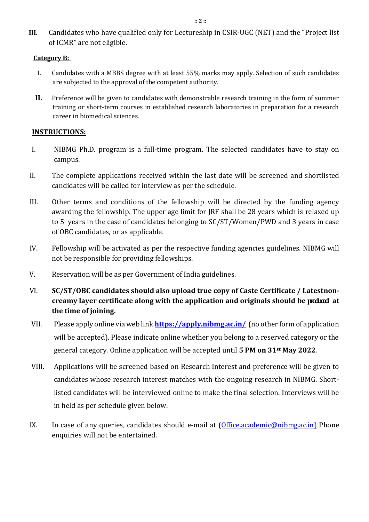**III.** Candidates who have qualified only for Lectureship in CSIR-UGC (NET) and the "Project list of ICMR" are not eligible.

#### **Category B:**

- I. Candidates with a MBBS degree with at least 55% marks may apply. Selection of such candidates are subjected to the approval of the competent authority.
- **II.** Preference will be given to candidates with demonstrable research training in the form of summer training or short-term courses in established research laboratories in preparation for a research career in biomedical sciences.

## **INSTRUCTIONS:**

- I. NIBMG Ph.D. program is a full-time program. The selected candidates have to stay on campus.
- II. The complete applications received within the last date will be screened and shortlisted candidates will be called for interview as per the schedule.
- III. Other terms and conditions of the fellowship will be directed by the funding agency awarding the fellowship. The upper age limit for JRF shall be 28 years which is relaxed up to 5 years in the case of candidates belonging to SC/ST/Women/PWD and 3 years in case of OBC candidates, or as applicable.
- IV. Fellowship will be activated as per the respective funding agencies guidelines. NIBMG will not be responsible for providing fellowships.
- V. Reservation will be as per Government of India guidelines.
- VI. **SC/ST/OBC candidates should also upload true copy of Caste Certificate / Latestnoncreamy layer certificate along with the application and originals should be produced at the time of joining.**
- VII. Please apply online via web link **<https://apply.nibmg.ac.in/>**(no other form of application will be accepted). Please indicate online whether you belong to a reserved category or the general category. Online application will be accepted until **5 PM on 31st May 2022**.
- VIII. Applications will be screened based on Research Interest and preference will be given to candidates whose research interest matches with the ongoing research in NIBMG. Shortlisted candidates will be interviewed online to make the final selection. Interviews will be in held as per schedule given below.
- IX. In case of any queries, candidates should e-mail at [\(Office.academic@nibmg.ac.in\)](mailto:Office.academic@nibmg.ac.in) Phone enquiries will not be entertained.